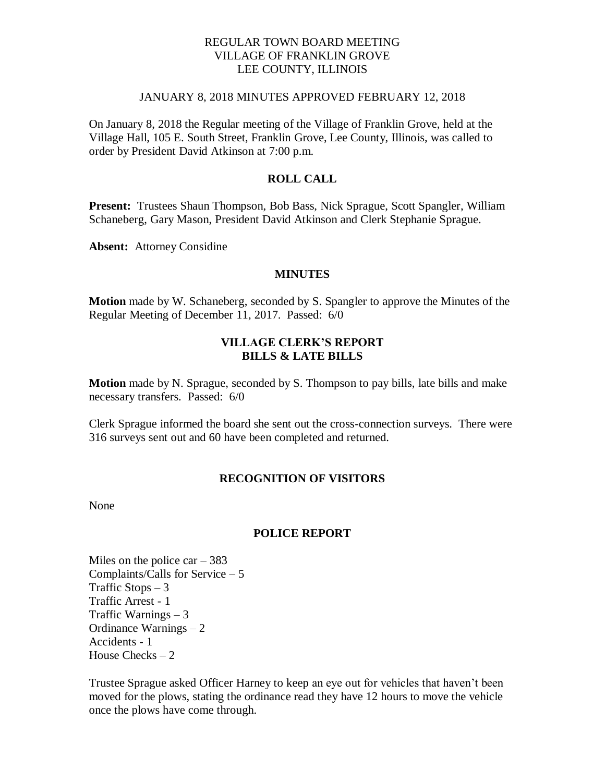### REGULAR TOWN BOARD MEETING VILLAGE OF FRANKLIN GROVE LEE COUNTY, ILLINOIS

#### JANUARY 8, 2018 MINUTES APPROVED FEBRUARY 12, 2018

On January 8, 2018 the Regular meeting of the Village of Franklin Grove, held at the Village Hall, 105 E. South Street, Franklin Grove, Lee County, Illinois, was called to order by President David Atkinson at 7:00 p.m.

## **ROLL CALL**

**Present:** Trustees Shaun Thompson, Bob Bass, Nick Sprague, Scott Spangler, William Schaneberg, Gary Mason, President David Atkinson and Clerk Stephanie Sprague.

**Absent:** Attorney Considine

#### **MINUTES**

**Motion** made by W. Schaneberg, seconded by S. Spangler to approve the Minutes of the Regular Meeting of December 11, 2017. Passed: 6/0

### **VILLAGE CLERK'S REPORT BILLS & LATE BILLS**

**Motion** made by N. Sprague, seconded by S. Thompson to pay bills, late bills and make necessary transfers. Passed: 6/0

Clerk Sprague informed the board she sent out the cross-connection surveys. There were 316 surveys sent out and 60 have been completed and returned.

#### **RECOGNITION OF VISITORS**

None

#### **POLICE REPORT**

Miles on the police car  $-383$ Complaints/Calls for Service – 5 Traffic Stops  $-3$ Traffic Arrest - 1 Traffic Warnings – 3 Ordinance Warnings – 2 Accidents - 1 House Checks  $-2$ 

Trustee Sprague asked Officer Harney to keep an eye out for vehicles that haven't been moved for the plows, stating the ordinance read they have 12 hours to move the vehicle once the plows have come through.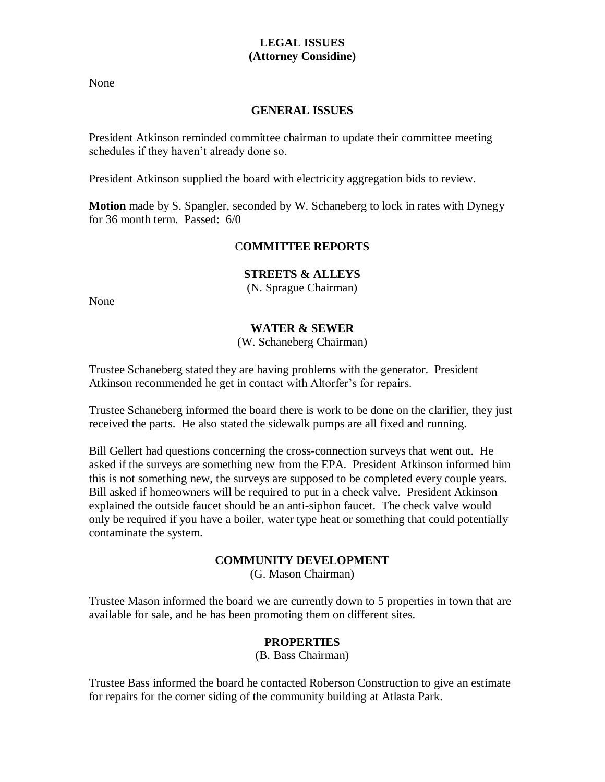# **LEGAL ISSUES (Attorney Considine)**

None

# **GENERAL ISSUES**

President Atkinson reminded committee chairman to update their committee meeting schedules if they haven't already done so.

President Atkinson supplied the board with electricity aggregation bids to review.

**Motion** made by S. Spangler, seconded by W. Schaneberg to lock in rates with Dynegy for 36 month term. Passed: 6/0

# C**OMMITTEE REPORTS**

# **STREETS & ALLEYS**

(N. Sprague Chairman)

None

# **WATER & SEWER**

(W. Schaneberg Chairman)

Trustee Schaneberg stated they are having problems with the generator. President Atkinson recommended he get in contact with Altorfer's for repairs.

Trustee Schaneberg informed the board there is work to be done on the clarifier, they just received the parts. He also stated the sidewalk pumps are all fixed and running.

Bill Gellert had questions concerning the cross-connection surveys that went out. He asked if the surveys are something new from the EPA. President Atkinson informed him this is not something new, the surveys are supposed to be completed every couple years. Bill asked if homeowners will be required to put in a check valve. President Atkinson explained the outside faucet should be an anti-siphon faucet. The check valve would only be required if you have a boiler, water type heat or something that could potentially contaminate the system.

## **COMMUNITY DEVELOPMENT**

(G. Mason Chairman)

Trustee Mason informed the board we are currently down to 5 properties in town that are available for sale, and he has been promoting them on different sites.

## **PROPERTIES**

(B. Bass Chairman)

Trustee Bass informed the board he contacted Roberson Construction to give an estimate for repairs for the corner siding of the community building at Atlasta Park.